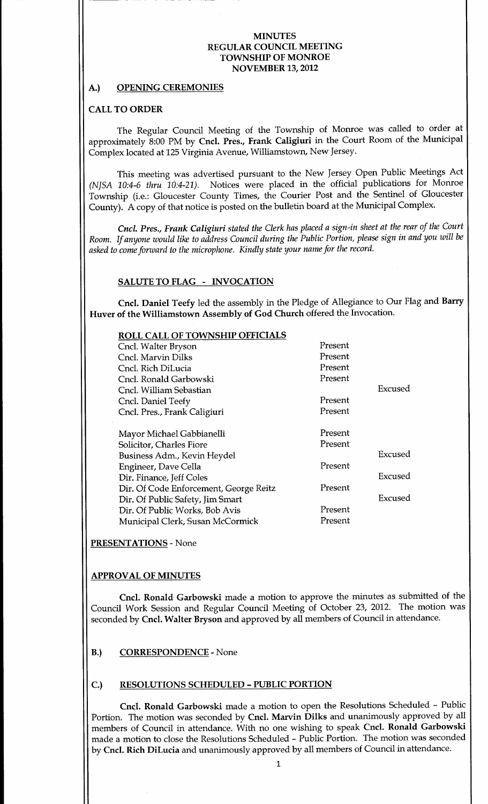### MINUTES REGULAR COUNCIL MEETING TOWNSHIP OF MONROE **NOVEMBER 13, 2012**

#### A.) OPENING CEREMONIES

#### CALL TO ORDER

The Regular Council Meeting of the Township of Monroe was called to order at approximately 8:00 PM by Cncl. Pres., Frank Caligiuri in the Court Room of the Municipal Complex located at 125 Virginia Avenue, Williamstown, New Jersey.

This meeting was advertised pursuant to the New Jersey Open Public Meetings Act (NJSA 10:4-6 thru 10:4-21). Notices were placed in the official publications for Monroe Township (i.e.: Gloucester County Times, the Courier Post and the Sentinel of Gloucester County). A copy of that notice is posted on the bulletin board at the Municipal Complex.

Cncl. Pres., Frank Caligiuri stated the Clerk has placed a sign-in sheet at the rear of the Court Room. If anyone would like to address Council during the Public Portion, please sign in and you will be asked to come forward to the microphone. Kindly state your name for the record.

#### SALUTE TO FLAG - INVOCATION

Cncl. Daniel Teefy led the assembly in the Pledge of Allegiance to Our Flag and Barry Huver of the Williamstown Assembly of God Church offered the Invocation

# ROLL CALL OF TOWNSHIP OFFICIALS

| NOLL CALL OF TOMMONIE OFFICIALLY       |         |         |
|----------------------------------------|---------|---------|
| Cncl. Walter Bryson                    | Present |         |
| Cncl. Marvin Dilks                     | Present |         |
| Cncl. Rich DiLucia                     | Present |         |
| Cncl. Ronald Garbowski                 | Present |         |
| Cncl. William Sebastian                |         | Excused |
| Cncl. Daniel Teefy                     | Present |         |
| Cncl. Pres., Frank Caligiuri           | Present |         |
|                                        |         |         |
| Mayor Michael Gabbianelli              | Present |         |
| Solicitor, Charles Fiore               | Present |         |
| Business Adm., Kevin Heydel            |         | Excused |
| Engineer, Dave Cella                   | Present |         |
| Dir. Finance, Jeff Coles               |         | Excused |
| Dir. Of Code Enforcement, George Reitz | Present |         |
| Dir. Of Public Safety, Jim Smart       |         | Excused |
| Dir. Of Public Works, Bob Avis         | Present |         |
| Municipal Clerk, Susan McCormick       | Present |         |
|                                        |         |         |

PRESENTATIONS - None

### APPROVAL OF MINUTES

Cncl. Ronald Garbowski made a motion to approve the minutes as submitted of the Council Work Session and Regular Council Meeting of October 23, 2012. The motion was seconded by Cncl. Walter Bryson and approved by all members of Council in attendance.

#### B.) CORRESPONDENCE - None

## C.) RESOLUTIONS SCHEDULED - PUBLIC PORTION

Cncl. Ronald Garbowski made a motion to open the Resolutions Scheduled - Public Portion. The motion was seconded by Cncl. Marvin Dilks and unanimously approved by all members of Council in attendance. With no one wishing to speak Cncl. Ronald Garbowski made a motion to close the Resolutions Scheduled - Public Portion. The motion was seconded by Cncl. Rich DiLucia and unanimously approved by all members of Council in attendance.